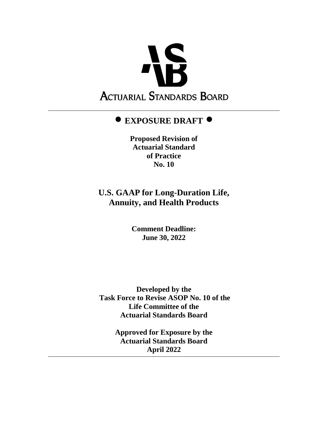

# **EXPOSURE DRAFT**

**Proposed Revision of Actuarial Standard of Practice No. 10**

# **U.S. GAAP for Long-Duration Life, Annuity, and Health Products**

**Comment Deadline: June 30, 2022**

**Developed by the Task Force to Revise ASOP No. 10 of the Life Committee of the Actuarial Standards Board**

> **Approved for Exposure by the Actuarial Standards Board April 2022**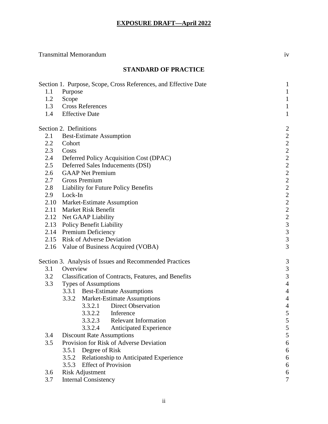# Transmittal Memorandum iv

## **STANDARD OF PRACTICE**

|         | Section 1. Purpose, Scope, Cross References, and Effective Date | $\mathbf{1}$           |
|---------|-----------------------------------------------------------------|------------------------|
| 1.1     | Purpose                                                         | $\mathbf{1}$           |
| 1.2     | Scope                                                           | $\mathbf 1$            |
| 1.3     | <b>Cross References</b>                                         | $\mathbf{1}$           |
| 1.4     | <b>Effective Date</b>                                           | $\mathbf{1}$           |
|         | Section 2. Definitions                                          | $\overline{c}$         |
| 2.1     | <b>Best-Estimate Assumption</b>                                 |                        |
| 2.2     | Cohort                                                          | 222222222              |
| 2.3     | Costs                                                           |                        |
| 2.4     | Deferred Policy Acquisition Cost (DPAC)                         |                        |
| $2.5\,$ | Deferred Sales Inducements (DSI)                                |                        |
| 2.6     | <b>GAAP</b> Net Premium                                         |                        |
| 2.7     | <b>Gross Premium</b>                                            |                        |
| 2.8     | Liability for Future Policy Benefits                            |                        |
| 2.9     | Lock-In                                                         |                        |
|         | 2.10 Market-Estimate Assumption                                 | $22233$<br>3<br>3<br>3 |
|         | 2.11 Market Risk Benefit                                        |                        |
|         | 2.12 Net GAAP Liability                                         |                        |
|         | 2.13 Policy Benefit Liability                                   |                        |
|         | 2.14 Premium Deficiency                                         |                        |
|         | 2.15 Risk of Adverse Deviation                                  |                        |
|         | 2.16 Value of Business Acquired (VOBA)                          | 3                      |
|         | Section 3. Analysis of Issues and Recommended Practices         | 3                      |
| 3.1     | Overview                                                        | 3                      |
| 3.2     | Classification of Contracts, Features, and Benefits             | 3                      |
| 3.3     | <b>Types of Assumptions</b>                                     | $\overline{4}$         |
|         | 3.3.1 Best-Estimate Assumptions                                 | $\overline{4}$         |
|         | 3.3.2 Market-Estimate Assumptions                               | $\overline{4}$         |
|         | <b>Direct Observation</b><br>3.3.2.1                            | $\overline{4}$         |
|         | 3.3.2.2 Inference                                               | 5                      |
|         | 3.3.2.3<br><b>Relevant Information</b>                          | 5                      |
|         | 3.3.2.4<br>Anticipated Experience                               | 5                      |
| 3.4     | <b>Discount Rate Assumptions</b>                                | 5                      |
| 3.5     | Provision for Risk of Adverse Deviation                         | 6                      |
|         | Degree of Risk<br>3.5.1                                         | 6                      |
|         | Relationship to Anticipated Experience<br>3.5.2                 | 6                      |
|         | <b>Effect of Provision</b><br>3.5.3                             | 6                      |
| 3.6     | <b>Risk Adjustment</b>                                          | 6                      |
| 3.7     | <b>Internal Consistency</b>                                     | 7                      |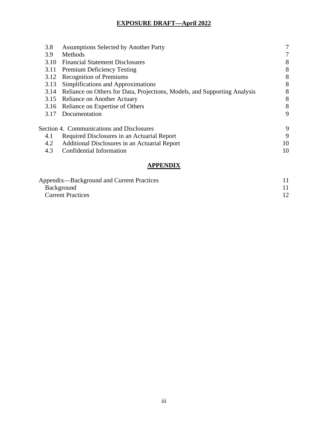| 3.8  | <b>Assumptions Selected by Another Party</b>                              | 7  |
|------|---------------------------------------------------------------------------|----|
| 3.9  | Methods                                                                   | 7  |
| 3.10 | <b>Financial Statement Disclosures</b>                                    | 8  |
| 3.11 | <b>Premium Deficiency Testing</b>                                         | 8  |
| 3.12 | <b>Recognition of Premiums</b>                                            | 8  |
| 3.13 | Simplifications and Approximations                                        | 8  |
| 3.14 | Reliance on Others for Data, Projections, Models, and Supporting Analysis | 8  |
|      | 3.15 Reliance on Another Actuary                                          | 8  |
|      | 3.16 Reliance on Expertise of Others                                      | 8  |
| 3.17 | Documentation                                                             | 9  |
|      | Section 4. Communications and Disclosures                                 | 9  |
| 4.1  | Required Disclosures in an Actuarial Report                               | 9  |
| 4.2  | Additional Disclosures in an Actuarial Report                             | 10 |
| 4.3  | Confidential Information                                                  | 10 |
|      | APPENDIX                                                                  |    |

| Appendix—Background and Current Practices |  |
|-------------------------------------------|--|
| <b>Background</b>                         |  |
| <b>Current Practices</b>                  |  |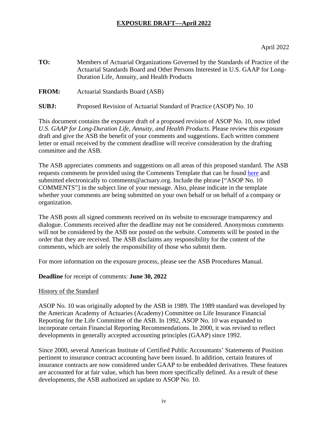- **TO:** Members of Actuarial Organizations Governed by the Standards of Practice of the Actuarial Standards Board and Other Persons Interested in U.S. GAAP for Long-Duration Life, Annuity, and Health Products
- **FROM:** Actuarial Standards Board (ASB)
- **SUBJ:** Proposed Revision of Actuarial Standard of Practice (ASOP) No. 10

This document contains the exposure draft of a proposed revision of ASOP No. 10, now titled *U.S. GAAP for Long-Duration Life, Annuity, and Health Products*. Please review this exposure draft and give the ASB the benefit of your comments and suggestions. Each written comment letter or email received by the comment deadline will receive consideration by the drafting committee and the ASB.

The ASB appreciates comments and suggestions on all areas of this proposed standard. The ASB requests comments be provided using the Comments Template that can be found [here](http://www.actuarialstandardsboard.org/asb-comment-template/) and submitted electronically to comments@actuary.org. Include the phrase ["ASOP No. 10" COMMENTS"] in the subject line of your message. Also, please indicate in the template whether your comments are being submitted on your own behalf or on behalf of a company or organization.

The ASB posts all signed comments received on its website to encourage transparency and dialogue. Comments received after the deadline may not be considered. Anonymous comments will not be considered by the ASB nor posted on the website. Comments will be posted in the order that they are received. The ASB disclaims any responsibility for the content of the comments, which are solely the responsibility of those who submit them.

For more information on the exposure process, please see the ASB Procedures Manual.

**Deadline** for receipt of comments: **June 30, 2022**

## History of the Standard

ASOP No. 10 was originally adopted by the ASB in 1989. The 1989 standard was developed by the American Academy of Actuaries (Academy) Committee on Life Insurance Financial Reporting for the Life Committee of the ASB. In 1992, ASOP No. 10 was expanded to incorporate certain Financial Reporting Recommendations. In 2000, it was revised to reflect developments in generally accepted accounting principles (GAAP) since 1992.

Since 2000, several American Institute of Certified Public Accountants' Statements of Position pertinent to insurance contract accounting have been issued. In addition, certain features of insurance contracts are now considered under GAAP to be embedded derivatives. These features are accounted for at fair value, which has been more specifically defined. As a result of these developments, the ASB authorized an update to ASOP No. 10.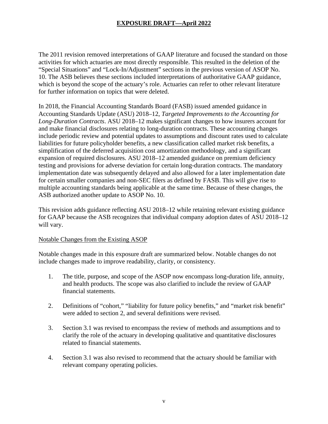The 2011 revision removed interpretations of GAAP literature and focused the standard on those activities for which actuaries are most directly responsible. This resulted in the deletion of the "Special Situations" and "Lock-In/Adjustment" sections in the previous version of ASOP No. 10. The ASB believes these sections included interpretations of authoritative GAAP guidance, which is beyond the scope of the actuary's role. Actuaries can refer to other relevant literature for further information on topics that were deleted.

In 2018, the Financial Accounting Standards Board (FASB) issued amended guidance in Accounting Standards Update (ASU) 2018–12, *Targeted Improvements to the Accounting for Long-Duration Contracts*. ASU 2018–12 makes significant changes to how insurers account for and make financial disclosures relating to long-duration contracts. These accounting changes include periodic review and potential updates to assumptions and discount rates used to calculate liabilities for future policyholder benefits, a new classification called market risk benefits, a simplification of the deferred acquisition cost amortization methodology, and a significant expansion of required disclosures. ASU 2018–12 amended guidance on premium deficiency testing and provisions for adverse deviation for certain long-duration contracts. The mandatory implementation date was subsequently delayed and also allowed for a later implementation date for certain smaller companies and non-SEC filers as defined by FASB. This will give rise to multiple accounting standards being applicable at the same time. Because of these changes, the ASB authorized another update to ASOP No. 10.

This revision adds guidance reflecting ASU 2018–12 while retaining relevant existing guidance for GAAP because the ASB recognizes that individual company adoption dates of ASU 2018–12 will vary.

#### Notable Changes from the Existing ASOP

Notable changes made in this exposure draft are summarized below. Notable changes do not include changes made to improve readability, clarity, or consistency.

- 1. The title, purpose, and scope of the ASOP now encompass long-duration life, annuity, and health products. The scope was also clarified to include the review of GAAP financial statements.
- 2. Definitions of "cohort," "liability for future policy benefits," and "market risk benefit" were added to section 2, and several definitions were revised.
- 3. Section 3.1 was revised to encompass the review of methods and assumptions and to clarify the role of the actuary in developing qualitative and quantitative disclosures related to financial statements.
- 4. Section 3.1 was also revised to recommend that the actuary should be familiar with relevant company operating policies.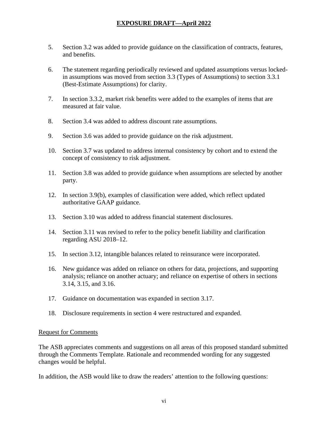- 5. Section 3.2 was added to provide guidance on the classification of contracts, features, and benefits.
- 6. The statement regarding periodically reviewed and updated assumptions versus lockedin assumptions was moved from section 3.3 (Types of Assumptions) to section 3.3.1 (Best-Estimate Assumptions) for clarity.
- 7. In section 3.3.2, market risk benefits were added to the examples of items that are measured at fair value.
- 8. Section 3.4 was added to address discount rate assumptions.
- 9. Section 3.6 was added to provide guidance on the risk adjustment.
- 10. Section 3.7 was updated to address internal consistency by cohort and to extend the concept of consistency to risk adjustment.
- 11. Section 3.8 was added to provide guidance when assumptions are selected by another party.
- 12. In section 3.9(b), examples of classification were added, which reflect updated authoritative GAAP guidance.
- 13. Section 3.10 was added to address financial statement disclosures.
- 14. Section 3.11 was revised to refer to the policy benefit liability and clarification regarding ASU 2018–12.
- 15. In section 3.12, intangible balances related to reinsurance were incorporated.
- 16. New guidance was added on reliance on others for data, projections, and supporting analysis; reliance on another actuary; and reliance on expertise of others in sections 3.14, 3.15, and 3.16.
- 17. Guidance on documentation was expanded in section 3.17.
- 18. Disclosure requirements in section 4 were restructured and expanded.

#### Request for Comments

The ASB appreciates comments and suggestions on all areas of this proposed standard submitted through the Comments Template. Rationale and recommended wording for any suggested changes would be helpful.

In addition, the ASB would like to draw the readers' attention to the following questions: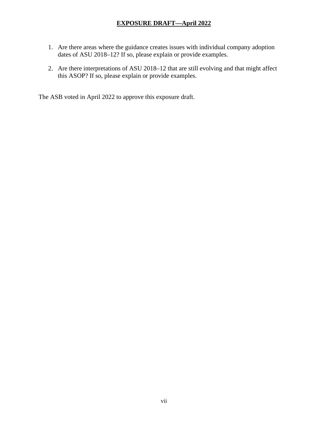- 1. Are there areas where the guidance creates issues with individual company adoption dates of ASU 2018–12? If so, please explain or provide examples.
- 2. Are there interpretations of ASU 2018–12 that are still evolving and that might affect this ASOP? If so, please explain or provide examples.

The ASB voted in April 2022 to approve this exposure draft.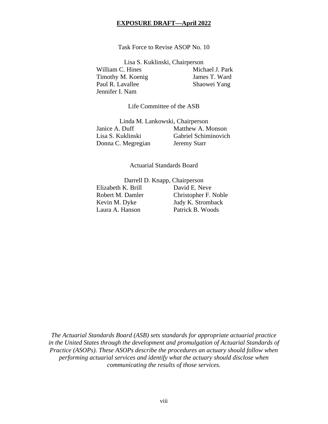Task Force to Revise ASOP No. 10

Lisa S. Kuklinski, Chairperson

William C. Hines Michael J. Park Timothy M. Koenig James T. Ward Paul R. Lavallee Shaowei Yang Jennifer I. Nam

Life Committee of the ASB

Linda M. Lankowski, Chairperson Janice A. Duff Matthew A. Monson<br>
Lisa S. Kuklinski<br>
Gabriel Schiminovich Gabriel Schiminovich Donna C. Megregian Jeremy Starr

Actuarial Standards Board

Darrell D. Knapp, Chairperson Elizabeth K. Brill David E. Neve Robert M. Damler Christopher F. Noble Kevin M. Dyke Judy K. Stromback Laura A. Hanson Patrick B. Woods

*The Actuarial Standards Board (ASB) sets standards for appropriate actuarial practice in the United States through the development and promulgation of Actuarial Standards of Practice (ASOPs). These ASOPs describe the procedures an actuary should follow when performing actuarial services and identify what the actuary should disclose when communicating the results of those services.*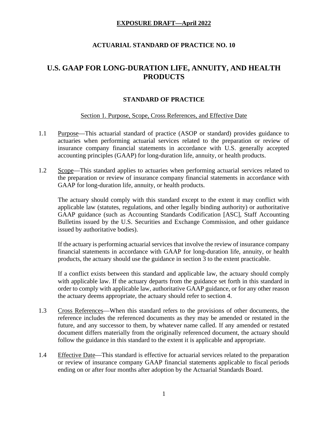## **ACTUARIAL STANDARD OF PRACTICE NO. 10**

## **U.S. GAAP FOR LONG-DURATION LIFE, ANNUITY, AND HEALTH PRODUCTS**

#### **STANDARD OF PRACTICE**

#### Section 1. Purpose, Scope, Cross References, and Effective Date

- 1.1 Purpose—This actuarial standard of practice (ASOP or standard) provides guidance to actuaries when performing actuarial services related to the preparation or review of insurance company financial statements in accordance with U.S. generally accepted accounting principles (GAAP) for long-duration life, annuity, or health products.
- 1.2 Scope—This standard applies to actuaries when performing actuarial services related to the preparation or review of insurance company financial statements in accordance with GAAP for long-duration life, annuity, or health products.

The actuary should comply with this standard except to the extent it may conflict with applicable law (statutes, regulations, and other legally binding authority) or authoritative GAAP guidance (such as Accounting Standards Codification [ASC], Staff Accounting Bulletins issued by the U.S. Securities and Exchange Commission, and other guidance issued by authoritative bodies).

If the actuary is performing actuarial services that involve the review of insurance company financial statements in accordance with GAAP for long-duration life, annuity, or health products, the actuary should use the guidance in section 3 to the extent practicable.

If a conflict exists between this standard and applicable law, the actuary should comply with applicable law. If the actuary departs from the guidance set forth in this standard in order to comply with applicable law, authoritative GAAP guidance, or for any other reason the actuary deems appropriate, the actuary should refer to section 4.

- 1.3 Cross References—When this standard refers to the provisions of other documents, the reference includes the referenced documents as they may be amended or restated in the future, and any successor to them, by whatever name called. If any amended or restated document differs materially from the originally referenced document, the actuary should follow the guidance in this standard to the extent it is applicable and appropriate.
- 1.4 Effective Date—This standard is effective for actuarial services related to the preparation or review of insurance company GAAP financial statements applicable to fiscal periods ending on or after four months after adoption by the Actuarial Standards Board.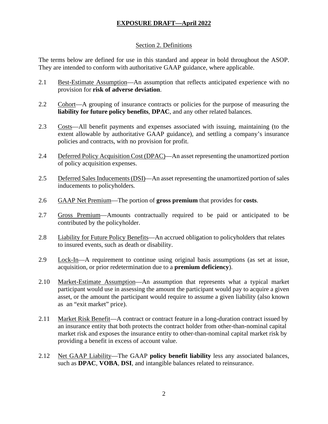#### Section 2. Definitions

The terms below are defined for use in this standard and appear in bold throughout the ASOP. They are intended to conform with authoritative GAAP guidance, where applicable.

- 2.1 Best-Estimate Assumption—An assumption that reflects anticipated experience with no provision for **risk of adverse deviation**.
- 2.2 Cohort—A grouping of insurance contracts or policies for the purpose of measuring the **liability for future policy benefits**, **DPAC**, and any other related balances.
- 2.3 Costs—All benefit payments and expenses associated with issuing, maintaining (to the extent allowable by authoritative GAAP guidance), and settling a company's insurance policies and contracts, with no provision for profit.
- 2.4 Deferred Policy Acquisition Cost (DPAC)—An asset representing the unamortized portion of policy acquisition expenses.
- 2.5 Deferred Sales Inducements (DSI)—An asset representing the unamortized portion of sales inducements to policyholders*.*
- 2.6 GAAP Net Premium—The portion of **gross premium** that provides for **costs**.
- 2.7 Gross Premium—Amounts contractually required to be paid or anticipated to be contributed by the policyholder.
- 2.8 Liability for Future Policy Benefits—An accrued obligation to policyholders that relates to insured events, such as death or disability.
- 2.9 Lock-In—A requirement to continue using original basis assumptions (as set at issue, acquisition, or prior redetermination due to a **premium deficiency**).
- 2.10 Market-Estimate Assumption—An assumption that represents what a typical market participant would use in assessing the amount the participant would pay to acquire a given asset, or the amount the participant would require to assume a given liability (also known as an "exit market" price).
- 2.11 Market Risk Benefit—A contract or contract feature in a long-duration contract issued by an insurance entity that both protects the contract holder from other-than-nominal capital market risk and exposes the insurance entity to other-than-nominal capital market risk by providing a benefit in excess of account value.
- 2.12 Net GAAP Liability—The GAAP **policy benefit liability** less any associated balances, such as **DPAC**, **VOBA**, **DSI**, and intangible balances related to reinsurance.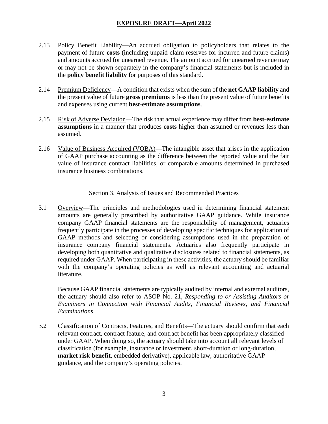- 2.13 Policy Benefit Liability—An accrued obligation to policyholders that relates to the payment of future **costs** (including unpaid claim reserves for incurred and future claims) and amounts accrued for unearned revenue. The amount accrued for unearned revenue may or may not be shown separately in the company's financial statements but is included in the **policy benefit liability** for purposes of this standard.
- 2.14 Premium Deficiency—A condition that exists when the sum of the **net GAAP liability** and the present value of future **gross premiums** is less than the present value of future benefits and expenses using current **best-estimate assumptions**.
- 2.15 Risk of Adverse Deviation—The risk that actual experience may differ from **best-estimate assumptions** in a manner that produces **costs** higher than assumed or revenues less than assumed.
- 2.16 Value of Business Acquired (VOBA)—The intangible asset that arises in the application of GAAP purchase accounting as the difference between the reported value and the fair value of insurance contract liabilities, or comparable amounts determined in purchased insurance business combinations.

## Section 3. Analysis of Issues and Recommended Practices

3.1 Overview—The principles and methodologies used in determining financial statement amounts are generally prescribed by authoritative GAAP guidance. While insurance company GAAP financial statements are the responsibility of management, actuaries frequently participate in the processes of developing specific techniques for application of GAAP methods and selecting or considering assumptions used in the preparation of insurance company financial statements. Actuaries also frequently participate in developing both quantitative and qualitative disclosures related to financial statements, as required under GAAP. When participating in these activities, the actuary should be familiar with the company's operating policies as well as relevant accounting and actuarial literature.

Because GAAP financial statements are typically audited by internal and external auditors, the actuary should also refer to ASOP No. 21, *Responding to or Assisting Auditors or Examiners in Connection with Financial Audits, Financial Reviews, and Financial Examinations*.

3.2 Classification of Contracts, Features, and Benefits—The actuary should confirm that each relevant contract, contract feature, and contract benefit has been appropriately classified under GAAP. When doing so, the actuary should take into account all relevant levels of classification (for example, insurance or investment, short-duration or long-duration, **market risk benefit**, embedded derivative), applicable law, authoritative GAAP guidance, and the company's operating policies.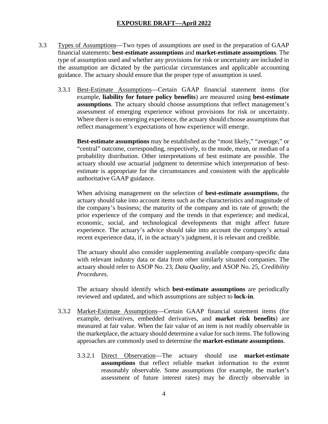- 3.3 Types of Assumptions—Two types of assumptions are used in the preparation of GAAP financial statements: **best-estimate assumptions** and **market-estimate assumptions**. The type of assumption used and whether any provisions for risk or uncertainty are included in the assumption are dictated by the particular circumstances and applicable accounting guidance. The actuary should ensure that the proper type of assumption is used.
	- 3.3.1 Best-Estimate Assumptions—Certain GAAP financial statement items (for example, **liability for future policy benefits**) are measured using **best-estimate assumptions**. The actuary should choose assumptions that reflect management's assessment of emerging experience without provisions for risk or uncertainty. Where there is no emerging experience, the actuary should choose assumptions that reflect management's expectations of how experience will emerge.

**Best-estimate assumptions** may be established as the "most likely," "average," or "central" outcome, corresponding, respectively, to the mode, mean, or median of a probability distribution. Other interpretations of best estimate are possible. The actuary should use actuarial judgment to determine which interpretation of bestestimate is appropriate for the circumstances and consistent with the applicable authoritative GAAP guidance.

When advising management on the selection of **best-estimate assumptions**, the actuary should take into account items such as the characteristics and magnitude of the company's business; the maturity of the company and its rate of growth; the prior experience of the company and the trends in that experience; and medical, economic, social, and technological developments that might affect future experience. The actuary's advice should take into account the company's actual recent experience data, if, in the actuary's judgment, it is relevant and credible.

The actuary should also consider supplementing available company-specific data with relevant industry data or data from other similarly situated companies. The actuary should refer to ASOP No. 23, *Data Quality*, and ASOP No. 25, *Credibility Procedures*.

The actuary should identify which **best-estimate assumptions** are periodically reviewed and updated, and which assumptions are subject to **lock-in**.

- 3.3.2 Market-Estimate Assumptions—Certain GAAP financial statement items (for example, derivatives, embedded derivatives, and **market risk benefits**) are measured at fair value. When the fair value of an item is not readily observable in the marketplace, the actuary should determine a value for such items. The following approaches are commonly used to determine the **market-estimate assumptions**.
	- 3.3.2.1 Direct Observation—The actuary should use **market-estimate assumptions** that reflect reliable market information to the extent reasonably observable. Some assumptions (for example, the market's assessment of future interest rates) may be directly observable in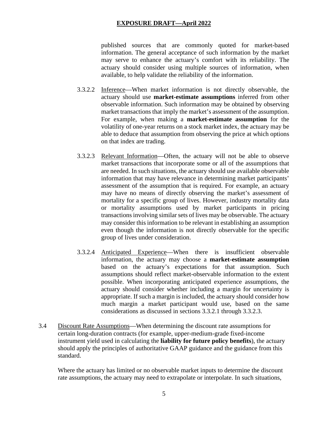published sources that are commonly quoted for market-based information. The general acceptance of such information by the market may serve to enhance the actuary's comfort with its reliability. The actuary should consider using multiple sources of information, when available, to help validate the reliability of the information.

- 3.3.2.2 Inference—When market information is not directly observable, the actuary should use **market-estimate assumptions** inferred from other observable information. Such information may be obtained by observing market transactions that imply the market's assessment of the assumption. For example, when making a **market-estimate assumption** for the volatility of one-year returns on a stock market index, the actuary may be able to deduce that assumption from observing the price at which options on that index are trading.
- 3.3.2.3 Relevant Information—Often, the actuary will not be able to observe market transactions that incorporate some or all of the assumptions that are needed. In such situations, the actuary should use available observable information that may have relevance in determining market participants' assessment of the assumption that is required. For example, an actuary may have no means of directly observing the market's assessment of mortality for a specific group of lives. However, industry mortality data or mortality assumptions used by market participants in pricing transactions involving similar sets of lives may be observable. The actuary may consider this information to be relevant in establishing an assumption even though the information is not directly observable for the specific group of lives under consideration.
- 3.3.2.4 Anticipated Experience—When there is insufficient observable information, the actuary may choose a **market-estimate assumption** based on the actuary's expectations for that assumption. Such assumptions should reflect market-observable information to the extent possible. When incorporating anticipated experience assumptions, the actuary should consider whether including a margin for uncertainty is appropriate. If such a margin is included, the actuary should consider how much margin a market participant would use, based on the same considerations as discussed in sections 3.3.2.1 through 3.3.2.3.
- 3.4 Discount Rate Assumptions—When determining the discount rate assumptions for certain long-duration contracts (for example, upper-medium-grade fixed-income instrument yield used in calculating the **liability for future policy benefits**), the actuary should apply the principles of authoritative GAAP guidance and the guidance from this standard.

Where the actuary has limited or no observable market inputs to determine the discount rate assumptions, the actuary may need to extrapolate or interpolate. In such situations,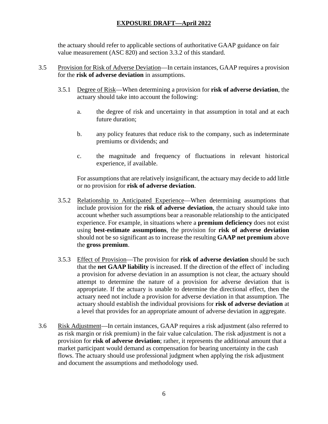the actuary should refer to applicable sections of authoritative GAAP guidance on fair value measurement (ASC 820) and section 3.3.2 of this standard.

- 3.5 Provision for Risk of Adverse Deviation—In certain instances, GAAP requires a provision for the **risk of adverse deviation** in assumptions.
	- 3.5.1 Degree of Risk—When determining a provision for **risk of adverse deviation**, the actuary should take into account the following:
		- a. the degree of risk and uncertainty in that assumption in total and at each future duration;
		- b. any policy features that reduce risk to the company, such as indeterminate premiums or dividends; and
		- c. the magnitude and frequency of fluctuations in relevant historical experience, if available.

For assumptions that are relatively insignificant, the actuary may decide to add little or no provision for **risk of adverse deviation**.

- 3.5.2 Relationship to Anticipated Experience—When determining assumptions that include provision for the **risk of adverse deviation**, the actuary should take into account whether such assumptions bear a reasonable relationship to the anticipated experience. For example, in situations where a **premium deficiency** does not exist using **best-estimate assumptions**, the provision for **risk of adverse deviation** should not be so significant as to increase the resulting **GAAP net premium** above the **gross premium**.
- 3.5.3 Effect of Provision—The provision for **risk of adverse deviation** should be such that the **net GAAP liability** is increased. If the direction of the effect of` including a provision for adverse deviation in an assumption is not clear, the actuary should attempt to determine the nature of a provision for adverse deviation that is appropriate. If the actuary is unable to determine the directional effect, then the actuary need not include a provision for adverse deviation in that assumption. The actuary should establish the individual provisions for **risk of adverse deviation** at a level that provides for an appropriate amount of adverse deviation in aggregate.
- 3.6 Risk Adjustment—In certain instances, GAAP requires a risk adjustment (also referred to as risk margin or risk premium) in the fair value calculation. The risk adjustment is not a provision for **risk of adverse deviation**; rather, it represents the additional amount that a market participant would demand as compensation for bearing uncertainty in the cash flows. The actuary should use professional judgment when applying the risk adjustment and document the assumptions and methodology used.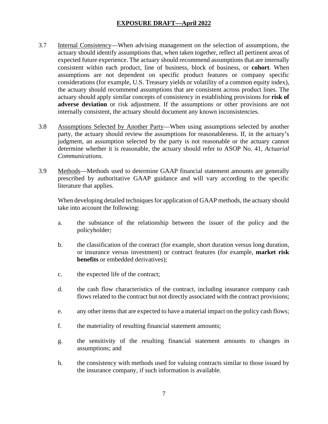- 3.7 Internal Consistency—When advising management on the selection of assumptions, the actuary should identify assumptions that, when taken together, reflect all pertinent areas of expected future experience. The actuary should recommend assumptions that are internally consistent within each product, line of business, block of business, or **cohort**. When assumptions are not dependent on specific product features or company specific considerations (for example, U.S. Treasury yields or volatility of a common equity index), the actuary should recommend assumptions that are consistent across product lines. The actuary should apply similar concepts of consistency in establishing provisions for **risk of adverse deviation** or risk adjustment. If the assumptions or other provisions are not internally consistent, the actuary should document any known inconsistencies.
- 3.8 Assumptions Selected by Another Party—When using assumptions selected by another party, the actuary should review the assumptions for reasonableness. If, in the actuary's judgment, an assumption selected by the party is not reasonable or the actuary cannot determine whether it is reasonable, the actuary should refer to ASOP No. 41, *Actuarial Communications*.
- 3.9 Methods—Methods used to determine GAAP financial statement amounts are generally prescribed by authoritative GAAP guidance and will vary according to the specific literature that applies.

When developing detailed techniques for application of GAAP methods, the actuary should take into account the following:

- a. the substance of the relationship between the issuer of the policy and the policyholder;
- b. the classification of the contract (for example, short duration versus long duration, or insurance versus investment) or contract features (for example, **market risk benefits** or embedded derivatives);
- c. the expected life of the contract;
- d. the cash flow characteristics of the contract, including insurance company cash flows related to the contract but not directly associated with the contract provisions;
- e. any other items that are expected to have a material impact on the policy cash flows;
- f. the materiality of resulting financial statement amounts;
- g. the sensitivity of the resulting financial statement amounts to changes in assumptions; and
- h. the consistency with methods used for valuing contracts similar to those issued by the insurance company, if such information is available.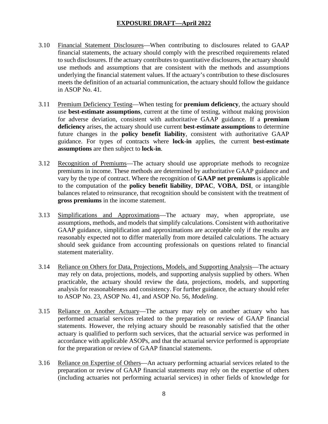- 3.10 Financial Statement Disclosures—When contributing to disclosures related to GAAP financial statements, the actuary should comply with the prescribed requirements related to such disclosures. If the actuary contributes to quantitative disclosures, the actuary should use methods and assumptions that are consistent with the methods and assumptions underlying the financial statement values. If the actuary's contribution to these disclosures meets the definition of an actuarial communication, the actuary should follow the guidance in ASOP No. 41.
- 3.11 Premium Deficiency Testing—When testing for **premium deficiency**, the actuary should use **best-estimate assumptions**, current at the time of testing, without making provision for adverse deviation, consistent with authoritative GAAP guidance. If a **premium deficiency** arises, the actuary should use current **best-estimate assumptions** to determine future changes in the **policy benefit liability**, consistent with authoritative GAAP guidance. For types of contracts where **lock-in** applies, the current **best-estimate assumptions** are then subject to **lock-in**.
- 3.12 Recognition of Premiums—The actuary should use appropriate methods to recognize premiums in income. These methods are determined by authoritative GAAP guidance and vary by the type of contract. Where the recognition of **GAAP net premiums** is applicable to the computation of the **policy benefit liability**, **DPAC**, **VOBA**, **DSI**, or intangible balances related to reinsurance, that recognition should be consistent with the treatment of **gross premiums** in the income statement.
- 3.13 Simplifications and Approximations—The actuary may, when appropriate, use assumptions, methods, and models that simplify calculations. Consistent with authoritative GAAP guidance, simplification and approximations are acceptable only if the results are reasonably expected not to differ materially from more detailed calculations. The actuary should seek guidance from accounting professionals on questions related to financial statement materiality.
- 3.14 Reliance on Others for Data, Projections, Models, and Supporting Analysis—The actuary may rely on data, projections, models, and supporting analysis supplied by others. When practicable, the actuary should review the data, projections, models, and supporting analysis for reasonableness and consistency. For further guidance, the actuary should refer to ASOP No. 23, ASOP No. 41*,* and ASOP No. 56, *Modeling*.
- 3.15 Reliance on Another Actuary—The actuary may rely on another actuary who has performed actuarial services related to the preparation or review of GAAP financial statements. However, the relying actuary should be reasonably satisfied that the other actuary is qualified to perform such services, that the actuarial service was performed in accordance with applicable ASOPs, and that the actuarial service performed is appropriate for the preparation or review of GAAP financial statements.
- 3.16 Reliance on Expertise of Others—An actuary performing actuarial services related to the preparation or review of GAAP financial statements may rely on the expertise of others (including actuaries not performing actuarial services) in other fields of knowledge for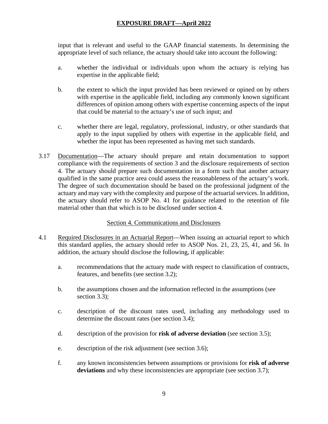input that is relevant and useful to the GAAP financial statements. In determining the appropriate level of such reliance, the actuary should take into account the following:

- a. whether the individual or individuals upon whom the actuary is relying has expertise in the applicable field;
- b. the extent to which the input provided has been reviewed or opined on by others with expertise in the applicable field, including any commonly known significant differences of opinion among others with expertise concerning aspects of the input that could be material to the actuary's use of such input; and
- c. whether there are legal, regulatory, professional, industry, or other standards that apply to the input supplied by others with expertise in the applicable field, and whether the input has been represented as having met such standards.
- 3.17 Documentation—The actuary should prepare and retain documentation to support compliance with the requirements of section 3 and the disclosure requirements of section 4. The actuary should prepare such documentation in a form such that another actuary qualified in the same practice area could assess the reasonableness of the actuary's work. The degree of such documentation should be based on the professional judgment of the actuary and may vary with the complexity and purpose of the actuarial services. In addition, the actuary should refer to ASOP No. 41 for guidance related to the retention of file material other than that which is to be disclosed under section 4.

## Section 4. Communications and Disclosures

- 4.1 Required Disclosures in an Actuarial Report—When issuing an actuarial report to which this standard applies, the actuary should refer to ASOP Nos. 21, 23, 25, 41, and 56. In addition, the actuary should disclose the following, if applicable:
	- a. recommendations that the actuary made with respect to classification of contracts, features, and benefits (see section 3.2);
	- b. the assumptions chosen and the information reflected in the assumptions (see section 3.3);
	- c. description of the discount rates used, including any methodology used to determine the discount rates (see section 3.4);
	- d. description of the provision for **risk of adverse deviation** (see section 3.5);
	- e. description of the risk adjustment (see section 3.6);
	- f. any known inconsistencies between assumptions or provisions for **risk of adverse**  deviations and why these inconsistencies are appropriate (see section 3.7);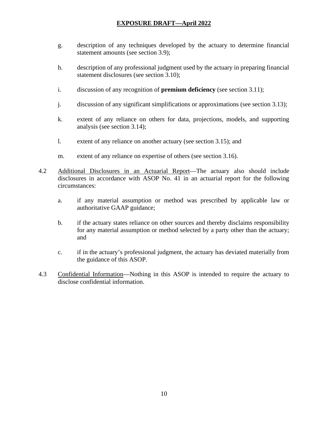- g. description of any techniques developed by the actuary to determine financial statement amounts (see section 3.9);
- h. description of any professional judgment used by the actuary in preparing financial statement disclosures (see section 3.10);
- i. discussion of any recognition of **premium deficiency** (see section 3.11);
- j. discussion of any significant simplifications or approximations (see section 3.13);
- k. extent of any reliance on others for data, projections, models, and supporting analysis (see section 3.14);
- l. extent of any reliance on another actuary (see section 3.15); and
- m. extent of any reliance on expertise of others (see section 3.16).
- 4.2 Additional Disclosures in an Actuarial Report—The actuary also should include disclosures in accordance with ASOP No. 41 in an actuarial report for the following circumstances:
	- a. if any material assumption or method was prescribed by applicable law or authoritative GAAP guidance;
	- b. if the actuary states reliance on other sources and thereby disclaims responsibility for any material assumption or method selected by a party other than the actuary; and
	- c. if in the actuary's professional judgment, the actuary has deviated materially from the guidance of this ASOP.
- 4.3 Confidential Information—Nothing in this ASOP is intended to require the actuary to disclose confidential information.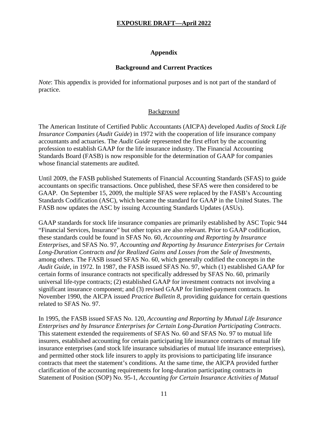#### **Appendix**

#### **Background and Current Practices**

*Note*: This appendix is provided for informational purposes and is not part of the standard of practice.

#### **Background**

The American Institute of Certified Public Accountants (AICPA) developed *Audits of Stock Life Insurance Companies* (*Audit Guide*) in 1972 with the cooperation of life insurance company accountants and actuaries. The *Audit Guide* represented the first effort by the accounting profession to establish GAAP for the life insurance industry. The Financial Accounting Standards Board (FASB) is now responsible for the determination of GAAP for companies whose financial statements are audited.

Until 2009, the FASB published Statements of Financial Accounting Standards (SFAS) to guide accountants on specific transactions. Once published, these SFAS were then considered to be GAAP. On September 15, 2009, the multiple SFAS were replaced by the FASB's Accounting Standards Codification (ASC), which became the standard for GAAP in the United States. The FASB now updates the ASC by issuing Accounting Standards Updates (ASUs).

GAAP standards for stock life insurance companies are primarily established by ASC Topic 944 "Financial Services, Insurance" but other topics are also relevant. Prior to GAAP codification, these standards could be found in SFAS No. 60, *Accounting and Reporting by Insurance Enterprises*, and SFAS No. 97, *Accounting and Reporting by Insurance Enterprises for Certain Long-Duration Contracts and for Realized Gains and Losses from the Sale of Investments*, among others. The FASB issued SFAS No. 60, which generally codified the concepts in the *Audit Guide*, in 1972. In 1987, the FASB issued SFAS No. 97, which (1) established GAAP for certain forms of insurance contracts not specifically addressed by SFAS No. 60, primarily universal life-type contracts; (2) established GAAP for investment contracts not involving a significant insurance component; and (3) revised GAAP for limited-payment contracts. In November 1990, the AICPA issued *Practice Bulletin 8,* providing guidance for certain questions related to SFAS No. 97.

In 1995, the FASB issued SFAS No. 120, *Accounting and Reporting by Mutual Life Insurance Enterprises and by Insurance Enterprises for Certain Long-Duration Participating Contracts*. This statement extended the requirements of SFAS No. 60 and SFAS No. 97 to mutual life insurers, established accounting for certain participating life insurance contracts of mutual life insurance enterprises (and stock life insurance subsidiaries of mutual life insurance enterprises), and permitted other stock life insurers to apply its provisions to participating life insurance contracts that meet the statement's conditions. At the same time, the AICPA provided further clarification of the accounting requirements for long-duration participating contracts in Statement of Position (SOP) No. 95-1, *Accounting for Certain Insurance Activities of Mutual*